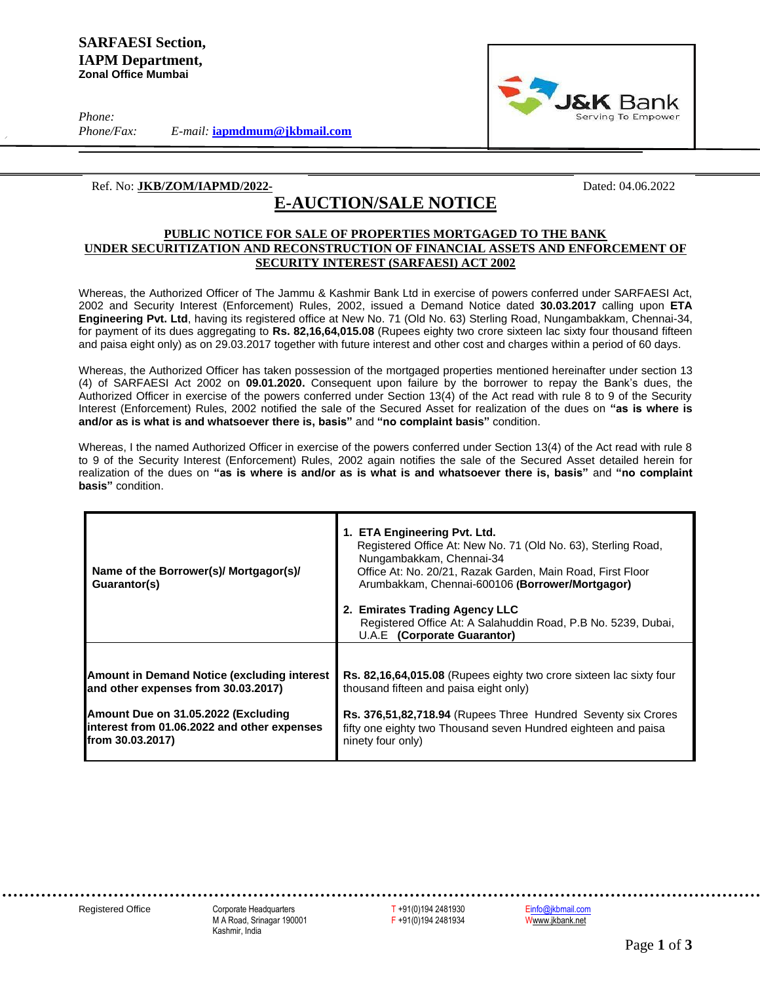*Phone:*

*Phone/Fax: E-mail:* **[iapmdmum@jkbmail.com](mailto:iapmdmum@jkbmail.com)**



#### Ref. No: **JKB/ZOM/IAPMD/2022-** Dated: 04.06.2022

# **E-AUCTION/SALE NOTICE**

### **PUBLIC NOTICE FOR SALE OF PROPERTIES MORTGAGED TO THE BANK UNDER SECURITIZATION AND RECONSTRUCTION OF FINANCIAL ASSETS AND ENFORCEMENT OF SECURITY INTEREST (SARFAESI) ACT 2002**

Whereas, the Authorized Officer of The Jammu & Kashmir Bank Ltd in exercise of powers conferred under SARFAESI Act, 2002 and Security Interest (Enforcement) Rules, 2002, issued a Demand Notice dated **30.03.2017** calling upon **ETA Engineering Pvt. Ltd**, having its registered office at New No. 71 (Old No. 63) Sterling Road, Nungambakkam, Chennai-34, for payment of its dues aggregating to **Rs. 82,16,64,015.08** (Rupees eighty two crore sixteen lac sixty four thousand fifteen and paisa eight only) as on 29.03.2017 together with future interest and other cost and charges within a period of 60 days.

Whereas, the Authorized Officer has taken possession of the mortgaged properties mentioned hereinafter under section 13 (4) of SARFAESI Act 2002 on **09.01.2020.** Consequent upon failure by the borrower to repay the Bank's dues, the Authorized Officer in exercise of the powers conferred under Section 13(4) of the Act read with rule 8 to 9 of the Security Interest (Enforcement) Rules, 2002 notified the sale of the Secured Asset for realization of the dues on **"as is where is and/or as is what is and whatsoever there is, basis"** and **"no complaint basis"** condition.

Whereas, I the named Authorized Officer in exercise of the powers conferred under Section 13(4) of the Act read with rule 8 to 9 of the Security Interest (Enforcement) Rules, 2002 again notifies the sale of the Secured Asset detailed herein for realization of the dues on **"as is where is and/or as is what is and whatsoever there is, basis"** and **"no complaint basis"** condition.

| Name of the Borrower(s)/ Mortgagor(s)/<br>Guarantor(s) | 1. ETA Engineering Pvt. Ltd.<br>Registered Office At: New No. 71 (Old No. 63), Sterling Road,<br>Nungambakkam, Chennai-34<br>Office At: No. 20/21, Razak Garden, Main Road, First Floor<br>Arumbakkam, Chennai-600106 (Borrower/Mortgagor)<br>2. Emirates Trading Agency LLC<br>Registered Office At: A Salahuddin Road, P.B No. 5239, Dubai,<br>U.A.E (Corporate Guarantor) |
|--------------------------------------------------------|------------------------------------------------------------------------------------------------------------------------------------------------------------------------------------------------------------------------------------------------------------------------------------------------------------------------------------------------------------------------------|
| <b>Amount in Demand Notice (excluding interest</b>     | Rs. 82,16,64,015.08 (Rupees eighty two crore sixteen lac sixty four                                                                                                                                                                                                                                                                                                          |
| and other expenses from 30.03.2017)                    | thousand fifteen and paisa eight only)                                                                                                                                                                                                                                                                                                                                       |
| Amount Due on 31.05.2022 (Excluding                    | Rs. 376,51,82,718.94 (Rupees Three Hundred Seventy six Crores                                                                                                                                                                                                                                                                                                                |
| interest from 01.06.2022 and other expenses            | fifty one eighty two Thousand seven Hundred eighteen and paisa                                                                                                                                                                                                                                                                                                               |
| from 30.03.2017)                                       | ninety four only)                                                                                                                                                                                                                                                                                                                                                            |

Registered Office Corporate Headquarters T +91(0)194 2481930 [Einfo@jkbmail.com](mailto:info@jkbmail.com)<br>M A Road, Srinagar 190001 F +91(0)194 2481934 Www.jkbank.net M A Road, Srinagar 190001 F +91(0)194 2481934 Www.jkbank.net Kashmir, India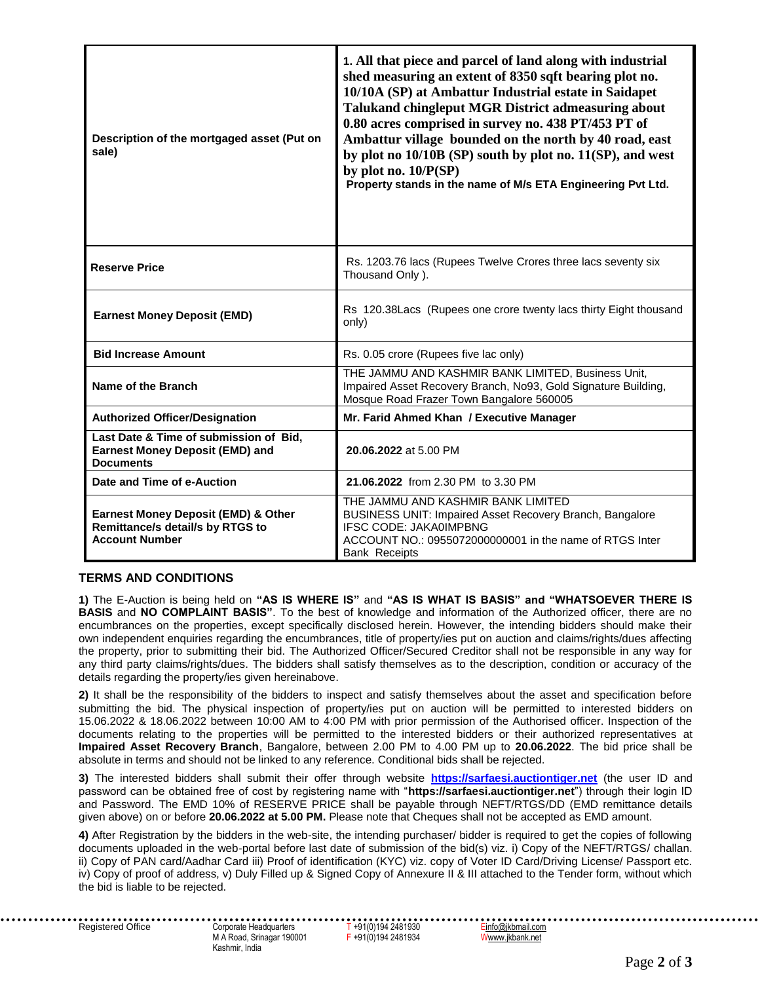| Description of the mortgaged asset (Put on<br>sale)                                                  | 1. All that piece and parcel of land along with industrial<br>shed measuring an extent of 8350 sqft bearing plot no.<br>10/10A (SP) at Ambattur Industrial estate in Saidapet<br>Talukand chingleput MGR District admeasuring about<br>0.80 acres comprised in survey no. 438 PT/453 PT of<br>Ambattur village bounded on the north by 40 road, east<br>by plot no 10/10B (SP) south by plot no. 11(SP), and west<br>by plot no. $10/P(SP)$<br>Property stands in the name of M/s ETA Engineering Pvt Ltd. |
|------------------------------------------------------------------------------------------------------|------------------------------------------------------------------------------------------------------------------------------------------------------------------------------------------------------------------------------------------------------------------------------------------------------------------------------------------------------------------------------------------------------------------------------------------------------------------------------------------------------------|
| <b>Reserve Price</b>                                                                                 | Rs. 1203.76 lacs (Rupees Twelve Crores three lacs seventy six<br>Thousand Only).                                                                                                                                                                                                                                                                                                                                                                                                                           |
| <b>Earnest Money Deposit (EMD)</b>                                                                   | Rs 120.38Lacs (Rupees one crore twenty lacs thirty Eight thousand<br>only)                                                                                                                                                                                                                                                                                                                                                                                                                                 |
| <b>Bid Increase Amount</b>                                                                           | Rs. 0.05 crore (Rupees five lac only)                                                                                                                                                                                                                                                                                                                                                                                                                                                                      |
| Name of the Branch                                                                                   | THE JAMMU AND KASHMIR BANK LIMITED, Business Unit,<br>Impaired Asset Recovery Branch, No93, Gold Signature Building,<br>Mosque Road Frazer Town Bangalore 560005                                                                                                                                                                                                                                                                                                                                           |
| <b>Authorized Officer/Designation</b>                                                                | Mr. Farid Ahmed Khan / Executive Manager                                                                                                                                                                                                                                                                                                                                                                                                                                                                   |
| Last Date & Time of submission of Bid,<br><b>Earnest Money Deposit (EMD) and</b><br><b>Documents</b> | 20.06.2022 at 5.00 PM                                                                                                                                                                                                                                                                                                                                                                                                                                                                                      |
| Date and Time of e-Auction                                                                           | 21.06.2022 from 2.30 PM to 3.30 PM                                                                                                                                                                                                                                                                                                                                                                                                                                                                         |
| Earnest Money Deposit (EMD) & Other<br>Remittance/s detail/s by RTGS to<br><b>Account Number</b>     | THE JAMMU AND KASHMIR BANK LIMITED<br>BUSINESS UNIT: Impaired Asset Recovery Branch, Bangalore<br>IFSC CODE: JAKA0IMPBNG<br>ACCOUNT NO.: 0955072000000001 in the name of RTGS Inter<br><b>Bank Receipts</b>                                                                                                                                                                                                                                                                                                |

## **TERMS AND CONDITIONS**

**1)** The E-Auction is being held on **"AS IS WHERE IS"** and **"AS IS WHAT IS BASIS" and "WHATSOEVER THERE IS BASIS** and **NO COMPLAINT BASIS"**. To the best of knowledge and information of the Authorized officer, there are no encumbrances on the properties, except specifically disclosed herein. However, the intending bidders should make their own independent enquiries regarding the encumbrances, title of property/ies put on auction and claims/rights/dues affecting the property, prior to submitting their bid. The Authorized Officer/Secured Creditor shall not be responsible in any way for any third party claims/rights/dues. The bidders shall satisfy themselves as to the description, condition or accuracy of the details regarding the property/ies given hereinabove.

**2)** It shall be the responsibility of the bidders to inspect and satisfy themselves about the asset and specification before submitting the bid. The physical inspection of property/ies put on auction will be permitted to interested bidders on 15.06.2022 & 18.06.2022 between 10:00 AM to 4:00 PM with prior permission of the Authorised officer. Inspection of the documents relating to the properties will be permitted to the interested bidders or their authorized representatives at **Impaired Asset Recovery Branch**, Bangalore, between 2.00 PM to 4.00 PM up to **20.06.2022**. The bid price shall be absolute in terms and should not be linked to any reference. Conditional bids shall be rejected.

**3)** The interested bidders shall submit their offer through website **[https://sarfaesi.auctiontiger.net](https://sarfaesi.auctiontiger.net/)** (the user ID and password can be obtained free of cost by registering name with "**https://sarfaesi.auctiontiger.net**") through their login ID and Password. The EMD 10% of RESERVE PRICE shall be payable through NEFT/RTGS/DD (EMD remittance details given above) on or before **20.06.2022 at 5.00 PM.** Please note that Cheques shall not be accepted as EMD amount.

**4)** After Registration by the bidders in the web-site, the intending purchaser/ bidder is required to get the copies of following documents uploaded in the web-portal before last date of submission of the bid(s) viz. i) Copy of the NEFT/RTGS/ challan. ii) Copy of PAN card/Aadhar Card iii) Proof of identification (KYC) viz. copy of Voter ID Card/Driving License/ Passport etc. iv) Copy of proof of address, v) Duly Filled up & Signed Copy of Annexure II & III attached to the Tender form, without which the bid is liable to be rejected.